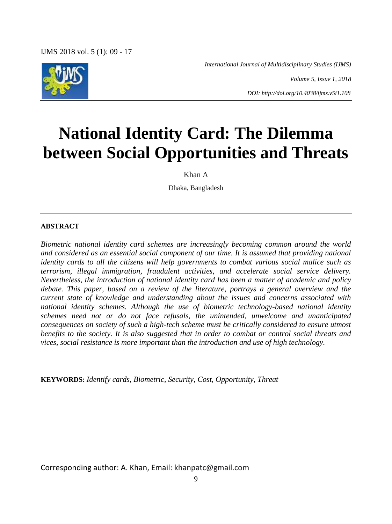IJMS 2018 vol. 5 (1): 09 - 17

*International Journal of Multidisciplinary Studies (IJMS)*



*Volume 5, Issue 1, 2018*

*DOI: http://doi.org/10.4038/ijms.v5i1.108*

# **National Identity Card: The Dilemma between Social Opportunities and Threats**

Khan A

Dhaka, Bangladesh

#### **ABSTRACT**

*Biometric national identity card schemes are increasingly becoming common around the world and considered as an essential social component of our time. It is assumed that providing national identity cards to all the citizens will help governments to combat various social malice such as terrorism, illegal immigration, fraudulent activities, and accelerate social service delivery. Nevertheless, the introduction of national identity card has been a matter of academic and policy debate. This paper, based on a review of the literature, portrays a general overview and the current state of knowledge and understanding about the issues and concerns associated with national identity schemes. Although the use of biometric technology-based national identity schemes need not or do not face refusals, the unintended, unwelcome and unanticipated consequences on society of such a high-tech scheme must be critically considered to ensure utmost benefits to the society. It is also suggested that in order to combat or control social threats and vices, social resistance is more important than the introduction and use of high technology.*

**KEYWORDS:** *Identify cards, Biometric, Security, Cost, Opportunity, Threat*

Corresponding author: A. Khan, Email: khanpatc@gmail.com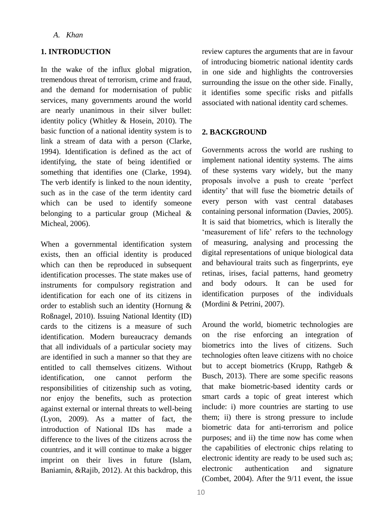#### *A. Khan*

# **1. INTRODUCTION**

In the wake of the influx global migration, tremendous threat of terrorism, crime and fraud, and the demand for modernisation of public services, many governments around the world are nearly unanimous in their silver bullet: identity policy (Whitley & Hosein, 2010). The basic function of a national identity system is to link a stream of data with a person (Clarke, 1994). Identification is defined as the act of identifying, the state of being identified or something that identifies one (Clarke, 1994). The verb identify is linked to the noun identity, such as in the case of the term identity card which can be used to identify someone belonging to a particular group (Micheal & Micheal, 2006).

When a governmental identification system exists, then an official identity is produced which can then be reproduced in subsequent identification processes. The state makes use of instruments for compulsory registration and identification for each one of its citizens in order to establish such an identity (Hornung & Roßnagel, 2010). Issuing National Identity (ID) cards to the citizens is a measure of such identification. Modern bureaucracy demands that all individuals of a particular society may are identified in such a manner so that they are entitled to call themselves citizens. Without identification, one cannot perform the responsibilities of citizenship such as voting, nor enjoy the benefits, such as protection against external or internal threats to well-being (Lyon, 2009). As a matter of fact, the introduction of National IDs has made a difference to the lives of the citizens across the countries, and it will continue to make a bigger imprint on their lives in future (Islam, Baniamin, &Rajib, 2012). At this backdrop, this review captures the arguments that are in favour of introducing biometric national identity cards in one side and highlights the controversies surrounding the issue on the other side. Finally, it identifies some specific risks and pitfalls associated with national identity card schemes.

# **2. BACKGROUND**

Governments across the world are rushing to implement national identity systems. The aims of these systems vary widely, but the many proposals involve a push to create 'perfect identity' that will fuse the biometric details of every person with vast central databases containing personal information (Davies, 2005). It is said that biometrics, which is literally the ‗measurement of life' refers to the technology of measuring, analysing and processing the digital representations of unique biological data and behavioural traits such as fingerprints, eye retinas, irises, facial patterns, hand geometry and body odours. It can be used for identification purposes of the individuals (Mordini & Petrini, 2007).

Around the world, biometric technologies are on the rise enforcing an integration of biometrics into the lives of citizens. Such technologies often leave citizens with no choice but to accept biometrics (Krupp, Rathgeb & Busch, 2013). There are some specific reasons that make biometric-based identity cards or smart cards a topic of great interest which include: i) more countries are starting to use them; ii) there is strong pressure to include biometric data for anti-terrorism and police purposes; and ii) the time now has come when the capabilities of electronic chips relating to electronic identity are ready to be used such as; electronic authentication and signature (Combet, 2004). After the 9/11 event, the issue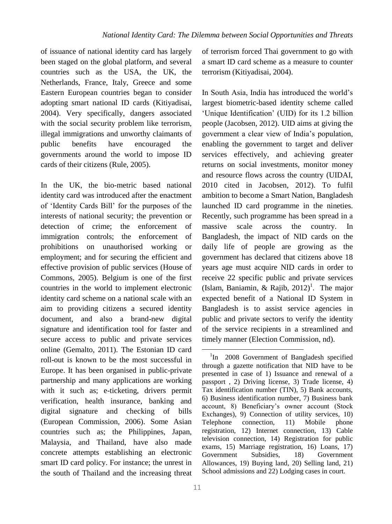of issuance of national identity card has largely been staged on the global platform, and several countries such as the USA, the UK, the Netherlands, France, Italy, Greece and some Eastern European countries began to consider adopting smart national ID cards (Kitiyadisai, 2004). Very specifically, dangers associated with the social security problem like terrorism, illegal immigrations and unworthy claimants of public benefits have encouraged the governments around the world to impose ID cards of their citizens (Rule, 2005).

In the UK, the bio-metric based national identity card was introduced after the enactment of ‗Identity Cards Bill' for the purposes of the interests of national security; the prevention or detection of crime; the enforcement of immigration controls; the enforcement of prohibitions on unauthorised working or employment; and for securing the efficient and effective provision of public services (House of Commons, 2005). Belgium is one of the first countries in the world to implement electronic identity card scheme on a national scale with an aim to providing citizens a secured identity document, and also a brand-new digital signature and identification tool for faster and secure access to public and private services online (Gemalto, 2011). The Estonian ID card roll-out is known to be the most successful in Europe. It has been organised in public-private partnership and many applications are working with it such as; e-ticketing, drivers permit verification, health insurance, banking and digital signature and checking of bills (European Commission, 2006). Some Asian countries such as; the Philippines, Japan, Malaysia, and Thailand, have also made concrete attempts establishing an electronic smart ID card policy. For instance; the unrest in the south of Thailand and the increasing threat of terrorism forced Thai government to go with a smart ID card scheme as a measure to counter terrorism (Kitiyadisai, 2004).

In South Asia, India has introduced the world's largest biometric-based identity scheme called ‗Unique Identification' (UID) for its 1.2 billion people (Jacobsen, 2012). UID aims at giving the government a clear view of India's population, enabling the government to target and deliver services effectively, and achieving greater returns on social investments, monitor money and resource flows across the country (UIDAI, 2010 cited in Jacobsen, 2012). To fulfil ambition to become a Smart Nation, Bangladesh launched ID card programme in the nineties. Recently, such programme has been spread in a massive scale across the country. In Bangladesh, the impact of NID cards on the daily life of people are growing as the government has declared that citizens above 18 years age must acquire NID cards in order to receive 22 specific public and private services (Islam, Baniamin, & Rajib,  $2012$ <sup>1</sup>. The major expected benefit of a National ID System in Bangladesh is to assist service agencies in public and private sectors to verify the identity of the service recipients in a streamlined and timely manner (Election Commission, nd).

1

<sup>&</sup>lt;sup>1</sup>In 2008 Government of Bangladesh specified through a gazette notification that NID have to be presented in case of 1) Issuance and renewal of a passport , 2) Driving license, 3) Trade license, 4) Tax identification number (TIN), 5) Bank accounts, 6) Business identification number, 7) Business bank account, 8) Beneficiary's owner account (Stock Exchanges), 9) Connection of utility services, 10) Telephone connection, 11) Mobile phone registration, 12) Internet connection, 13) Cable television connection, 14) Registration for public exams, 15) Marriage registration, 16) Loans, 17) Government Subsidies, 18) Government Allowances, 19) Buying land, 20) Selling land, 21) School admissions and 22) Lodging cases in court.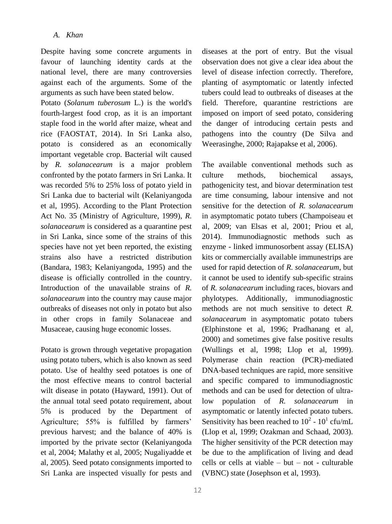Despite having some concrete arguments in favour of launching identity cards at the national level, there are many controversies against each of the arguments. Some of the arguments as such have been stated below.

Potato (*Solanum tuberosum* L.) is the world's fourth-largest food crop, as it is an important staple food in the world after maize, wheat and rice (FAOSTAT, 2014). In Sri Lanka also, potato is considered as an economically important vegetable crop. Bacterial wilt caused by *R. solanacearum* is a major problem confronted by the potato farmers in Sri Lanka. It was recorded 5% to 25% loss of potato yield in Sri Lanka due to bacterial wilt (Kelaniyangoda et al, 1995). According to the Plant Protection Act No. 35 (Ministry of Agriculture, 1999), *R. solanacearum* is considered as a quarantine pest in Sri Lanka, since some of the strains of this species have not yet been reported, the existing strains also have a restricted distribution (Bandara, 1983; Kelaniyangoda, 1995) and the disease is officially controlled in the country. Introduction of the unavailable strains of *R. solanacearum* into the country may cause major outbreaks of diseases not only in potato but also in other crops in family Solanaceae and Musaceae, causing huge economic losses.

Potato is grown through vegetative propagation using potato tubers, which is also known as seed potato. Use of healthy seed potatoes is one of the most effective means to control bacterial wilt disease in potato (Hayward, 1991). Out of the annual total seed potato requirement, about 5% is produced by the Department of Agriculture; 55% is fulfilled by farmers' previous harvest; and the balance of 40% is imported by the private sector (Kelaniyangoda et al, 2004; Malathy et al, 2005; Nugaliyadde et al, 2005). Seed potato consignments imported to Sri Lanka are inspected visually for pests and diseases at the port of entry. But the visual observation does not give a clear idea about the level of disease infection correctly. Therefore, planting of asymptomatic or latently infected tubers could lead to outbreaks of diseases at the field. Therefore, quarantine restrictions are imposed on import of seed potato, considering the danger of introducing certain pests and pathogens into the country (De Silva and Weerasinghe, 2000; Rajapakse et al, 2006).

The available conventional methods such as culture methods, biochemical assays, pathogenicity test, and biovar determination test are time consuming, labour intensive and not sensitive for the detection of *R. solanacearum* in asymptomatic potato tubers (Champoiseau et al, 2009; van Elsas et al, 2001; Priou et al, 2014). Immunodiagnostic methods such as enzyme - linked immunosorbent assay (ELISA) kits or commercially available immunestrips are used for rapid detection of *R. solanacearum*, but it cannot be used to identify sub-specific strains of *R. solanacearum* including races, biovars and phylotypes. Additionally, immunodiagnostic methods are not much sensitive to detect *R. solanacearum* in asymptomatic potato tubers (Elphinstone et al, 1996; Pradhanang et al, 2000) and sometimes give false positive results (Wullings et al, 1998; Llop et al, 1999). Polymerase chain reaction (PCR)-mediated DNA-based techniques are rapid, more sensitive and specific compared to immunodiagnostic methods and can be used for detection of ultralow population of *R. solanacearum* in asymptomatic or latently infected potato tubers. Sensitivity has been reached to  $10^2$  -  $10^1$  cfu/mL (Llop et al, 1999; Ozakman and Schaad, 2003). The higher sensitivity of the PCR detection may be due to the amplification of living and dead cells or cells at viable – but – not - culturable (VBNC) state (Josephson et al, 1993).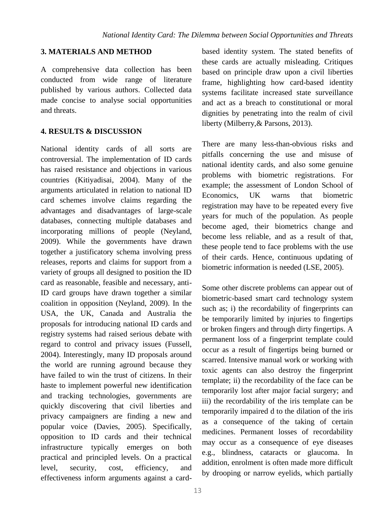## **3. MATERIALS AND METHOD**

A comprehensive data collection has been conducted from wide range of literature published by various authors. Collected data made concise to analyse social opportunities and threats.

## **4. RESULTS & DISCUSSION**

National identity cards of all sorts are controversial. The implementation of ID cards has raised resistance and objections in various countries (Kitiyadisai, 2004). Many of the arguments articulated in relation to national ID card schemes involve claims regarding the advantages and disadvantages of large-scale databases, connecting multiple databases and incorporating millions of people (Neyland, 2009). While the governments have drawn together a justificatory schema involving press releases, reports and claims for support from a variety of groups all designed to position the ID card as reasonable, feasible and necessary, anti-ID card groups have drawn together a similar coalition in opposition (Neyland, 2009). In the USA, the UK, Canada and Australia the proposals for introducing national ID cards and registry systems had raised serious debate with regard to control and privacy issues (Fussell, 2004). Interestingly, many ID proposals around the world are running aground because they have failed to win the trust of citizens. In their haste to implement powerful new identification and tracking technologies, governments are quickly discovering that civil liberties and privacy campaigners are finding a new and popular voice (Davies, 2005). Specifically, opposition to ID cards and their technical infrastructure typically emerges on both practical and principled levels. On a practical level, security, cost, efficiency, and effectiveness inform arguments against a cardbased identity system. The stated benefits of these cards are actually misleading. Critiques based on principle draw upon a civil liberties frame, highlighting how card-based identity systems facilitate increased state surveillance and act as a breach to constitutional or moral dignities by penetrating into the realm of civil liberty (Milberry,& Parsons, 2013).

There are many less-than-obvious risks and pitfalls concerning the use and misuse of national identity cards, and also some genuine problems with biometric registrations. For example; the assessment of London School of Economics, UK warns that biometric registration may have to be repeated every five years for much of the population. As people become aged, their biometrics change and become less reliable, and as a result of that, these people tend to face problems with the use of their cards. Hence, continuous updating of biometric information is needed (LSE, 2005).

Some other discrete problems can appear out of biometric-based smart card technology system such as; i) the recordability of fingerprints can be temporarily limited by injuries to fingertips or broken fingers and through dirty fingertips. A permanent loss of a fingerprint template could occur as a result of fingertips being burned or scarred. Intensive manual work or working with toxic agents can also destroy the fingerprint template; ii) the recordability of the face can be temporarily lost after major facial surgery; and iii) the recordability of the iris template can be temporarily impaired d to the dilation of the iris as a consequence of the taking of certain medicines. Permanent losses of recordability may occur as a consequence of eye diseases e.g., blindness, cataracts or glaucoma. In addition, enrolment is often made more difficult by drooping or narrow eyelids, which partially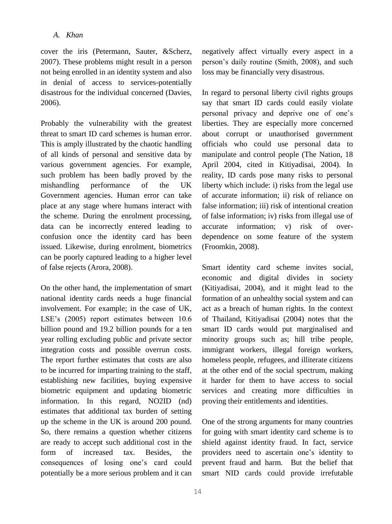cover the iris (Petermann, Sauter, &Scherz, 2007). These problems might result in a person not being enrolled in an identity system and also in denial of access to services-potentially disastrous for the individual concerned (Davies, 2006).

Probably the vulnerability with the greatest threat to smart ID card schemes is human error. This is amply illustrated by the chaotic handling of all kinds of personal and sensitive data by various government agencies. For example, such problem has been badly proved by the mishandling performance of the UK Government agencies. Human error can take place at any stage where humans interact with the scheme. During the enrolment processing, data can be incorrectly entered leading to confusion once the identity card has been issued. Likewise, during enrolment, biometrics can be poorly captured leading to a higher level of false rejects (Arora, 2008).

On the other hand, the implementation of smart national identity cards needs a huge financial involvement. For example; in the case of UK, LSE's (2005) report estimates between 10.6 billion pound and 19.2 billion pounds for a ten year rolling excluding public and private sector integration costs and possible overrun costs. The report further estimates that costs are also to be incurred for imparting training to the staff, establishing new facilities, buying expensive biometric equipment and updating biometric information. In this regard, NO2ID (nd) estimates that additional tax burden of setting up the scheme in the UK is around 200 pound. So, there remains a question whether citizens are ready to accept such additional cost in the form of increased tax. Besides, the consequences of losing one's card could potentially be a more serious problem and it can negatively affect virtually every aspect in a person's daily routine (Smith, 2008), and such loss may be financially very disastrous.

In regard to personal liberty civil rights groups say that smart ID cards could easily violate personal privacy and deprive one of one's liberties. They are especially more concerned about corrupt or unauthorised government officials who could use personal data to manipulate and control people (The Nation, 18 April 2004, cited in Kitiyadisai, 2004). In reality, ID cards pose many risks to personal liberty which include: i) risks from the legal use of accurate information; ii) risk of reliance on false information; iii) risk of intentional creation of false information; iv) risks from illegal use of accurate information; v) risk of overdependence on some feature of the system (Froomkin, 2008).

Smart identity card scheme invites social, economic and digital divides in society (Kitiyadisai, 2004), and it might lead to the formation of an unhealthy social system and can act as a breach of human rights. In the context of Thailand, Kitiyadisai (2004) notes that the smart ID cards would put marginalised and minority groups such as; hill tribe people, immigrant workers, illegal foreign workers, homeless people, refugees, and illiterate citizens at the other end of the social spectrum, making it harder for them to have access to social services and creating more difficulties in proving their entitlements and identities.

One of the strong arguments for many countries for going with smart identity card scheme is to shield against identity fraud. In fact, service providers need to ascertain one's identity to prevent fraud and harm. But the belief that smart NID cards could provide irrefutable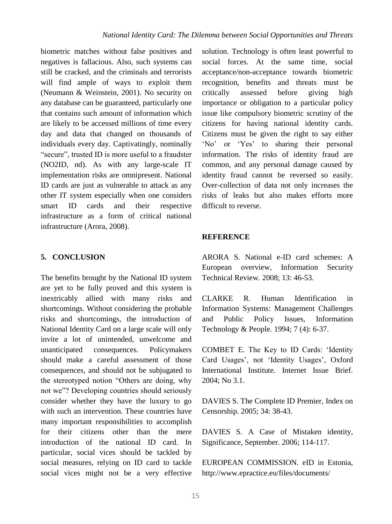biometric matches without false positives and negatives is fallacious. Also, such systems can still be cracked, and the criminals and terrorists will find ample of ways to exploit them (Neumann & Weinstein, 2001). No security on any database can be guaranteed, particularly one that contains such amount of information which are likely to be accessed millions of time every day and data that changed on thousands of individuals every day. Captivatingly, nominally "secure", trusted ID is more useful to a fraudster (NO2ID, nd). As with any large-scale IT implementation risks are omnipresent. National ID cards are just as vulnerable to attack as any other IT system especially when one considers smart ID cards and their respective infrastructure as a form of critical national infrastructure (Arora, 2008).

# **5. CONCLUSION**

The benefits brought by the National ID system are yet to be fully proved and this system is inextricably allied with many risks and shortcomings. Without considering the probable risks and shortcomings, the introduction of National Identity Card on a large scale will only invite a lot of unintended, unwelcome and unanticipated consequences. Policymakers should make a careful assessment of those consequences, and should not be subjugated to the stereotyped notion "Others are doing, why not we"? Developing countries should seriously consider whether they have the luxury to go with such an intervention. These countries have many important responsibilities to accomplish for their citizens other than the mere introduction of the national ID card. In particular, social vices should be tackled by social measures, relying on ID card to tackle social vices might not be a very effective solution. Technology is often least powerful to social forces. At the same time, social acceptance/non-acceptance towards biometric recognition, benefits and threats must be critically assessed before giving high importance or obligation to a particular policy issue like compulsory biometric scrutiny of the citizens for having national identity cards. Citizens must be given the right to say either 'No' or 'Yes' to sharing their personal information. The risks of identity fraud are common, and any personal damage caused by identity fraud cannot be reversed so easily. Over-collection of data not only increases the risks of leaks but also makes efforts more difficult to reverse.

#### **REFERENCE**

ARORA S. National e-ID card schemes: A European overview, Information Security Technical Review*.* 2008; 13: 46-53.

CLARKE R. Human Identification in Information Systems: Management Challenges and Public Policy Issues, Information Technology & People*.* 1994; 7 (4): 6-37.

COMBET E. The Key to ID Cards: 'Identity Card Usages', not 'Identity Usages', Oxford International Institute. Internet Issue Brief. 2004; No 3.1.

DAVIES S. The Complete ID Premier, Index on Censorship. 2005; 34: 38-43.

DAVIES S. A Case of Mistaken identity, Significance*,* September. 2006; 114-117.

EUROPEAN COMMISSION. eID in Estonia, http://www.epractice.eu/files/documents/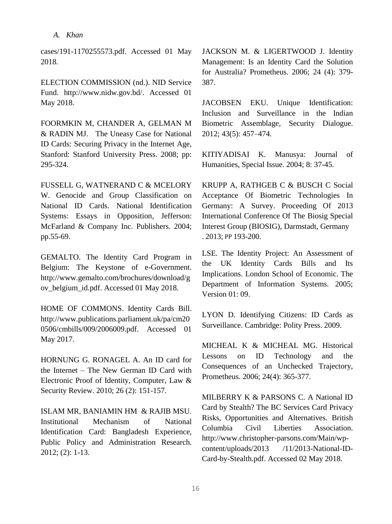cases/191-1170255573.pdf. Accessed 01 May 2018.

ELECTION COMMISSION (nd.). NID Service Fund. http://www.nidw.gov.bd/. Accessed 01 May 2018.

FOORMKIN M, CHANDER A, GELMAN M & RADIN MJ. The Uneasy Case for National ID Cards: Securing Privacy in the Internet Age, Stanford: Stanford University Press. 2008; pp: 295-324.

FUSSELL G, WATNERAND C & MCELORY W. Genocide and Group Classification on National ID Cards. National Identification Systems: Essays in Opposition*,* Jefferson: McFarland & Company Inc. Publishers. 2004; pp.55-69.

GEMALTO. The Identity Card Program in Belgium: The Keystone of e-Government. http://www.gemalto.com/brochures/download/g ov belgium id.pdf. Accessed 01 May 2018.

HOME OF COMMONS. Identity Cards Bill. http://www.publications.parliament.uk/pa/cm20 0506/cmbills/009/2006009.pdf. Accessed 01 May 2017.

HORNUNG G. RONAGEL A. An ID card for the Internet – The New German ID Card with Electronic Proof of Identity, Computer, Law & Security Review. 2010; 26 (2): 151-157.

ISLAM MR, BANIAMIN HM & RAJIB MSU. Institutional Mechanism of National Identification Card: Bangladesh Experience, Public Policy and Administration Research. 2012; (2): 1-13.

JACKSON M. & LIGERTWOOD J. Identity Management: Is an Identity Card the Solution for Australia? Prometheus. 2006; 24 (4): 379- 387.

JACOBSEN EKU. Unique Identification: Inclusion and Surveillance in the Indian Biometric Assemblage, Security Dialogue. 2012; 43(5): 457–474.

KITIYADISAI K. Manusya: Journal of Humanities, Special Issue. 2004; 8: 37-45.

KRUPP A, RATHGEB C & BUSCH C Social Acceptance Of Biometric Technologies In Germany: A Survey. Proceeding Of 2013 International Conference Of The Biosig Special Interest Group (BIOSIG), Darmstadt, Germany . 2013; PP 193-200.

LSE. The Identity Project: An Assessment of the UK Identity Cards Bills and Its Implications. London School of Economic. The Department of Information Systems. 2005; Version 01: 09.

LYON D. Identifying Citizens: ID Cards as Surveillance. Cambridge: Polity Press. 2009.

MICHEAL K & MICHEAL MG. Historical Lessons on ID Technology and the Consequences of an Unchecked Trajectory, Prometheus. 2006; 24(4): 365-377.

MILBERRY K & PARSONS C. A National ID Card by Stealth? The BC Services Card Privacy Risks, Opportunities and Alternatives. British Columbia Civil Liberties Association. http://www.christopher-parsons.com/Main/wpcontent/uploads/2013 /11/2013-National-ID-Card-by-Stealth.pdf. Accessed 02 May 2018.